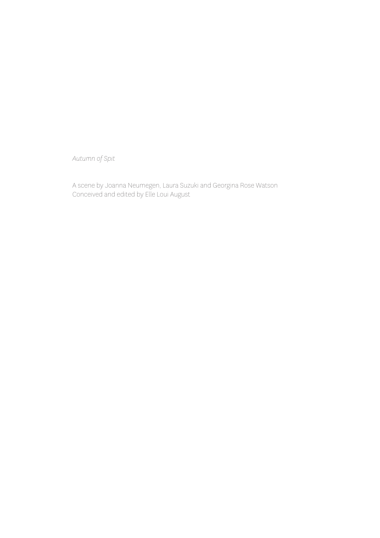*Autumn of Spit*

A scene by Joanna Neumegen, Laura Suzuki and Georgina Rose Watson Conceived and edited by Elle Loui August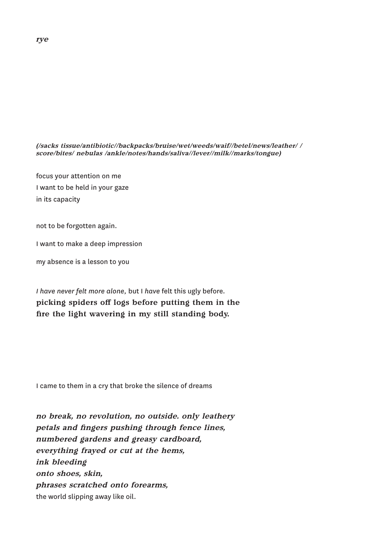*(/sacks tissue/antibiotic//backpacks/bruise/wet/weeds/waif//betel/news/leather/ / score/bites/ nebulas /ankle/notes/hands/saliva//lever//milk//marks/tongue)*

focus your attention on me I want to be held in your gaze in its capacity

not to be forgotten again.

I want to make a deep impression

my absence is a lesson to you

*I have never felt more alone,* but I *have* felt this ugly before*.*  picking spiders off logs before putting them in the fire the light wavering in my still standing body.

I came to them in a cry that broke the silence of dreams

*no break, no revolution, no outside. only leathery petals and fingers pushing through fence lines, numbered gardens and greasy cardboard, everything frayed or cut at the hems, ink bleeding onto shoes, skin, phrases scratched onto forearms,*  the world slipping away like oil.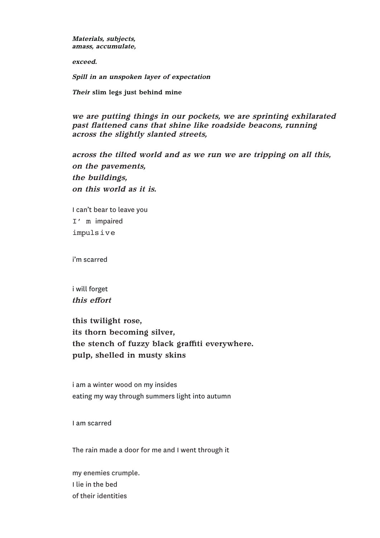*Materials, subjects, amass, accumulate,*

*exceed.*

*Spill in an unspoken layer of expectation*

*Their* slim legs just behind mine

*we are putting things in our pockets, we are sprinting exhilarated past flattened cans that shine like roadside beacons, running across the slightly slanted streets,* 

*across the tilted world and as we run we are tripping on all this, on the pavements, the buildings, on this world as it is.* 

I can't bear to leave you I' m impaired impulsive

i'm scarred

i will forget *this effort*

this twilight rose, its thorn becoming silver, the stench of fuzzy black graffiti everywhere. pulp, shelled in musty skins

i am a winter wood on my insides eating my way through summers light into autumn

I am scarred

The rain made a door for me and I went through it

my enemies crumple. I lie in the bed of their identities